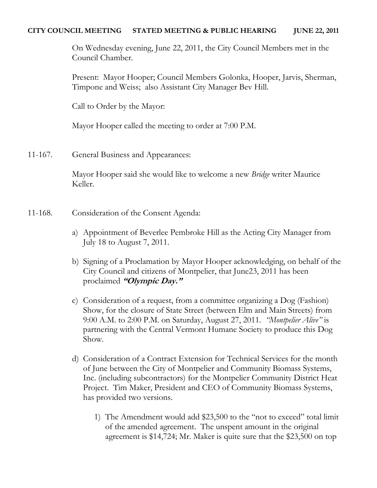## **CITY COUNCIL MEETING STATED MEETING & PUBLIC HEARING JUNE 22, 2011**

On Wednesday evening, June 22, 2011, the City Council Members met in the Council Chamber.

Present: Mayor Hooper; Council Members Golonka, Hooper, Jarvis, Sherman, Timpone and Weiss; also Assistant City Manager Bev Hill.

Call to Order by the Mayor:

Mayor Hooper called the meeting to order at 7:00 P.M.

11-167. General Business and Appearances:

Mayor Hooper said she would like to welcome a new *Bridge* writer Maurice Keller.

- 11-168. Consideration of the Consent Agenda:
	- a) Appointment of Beverlee Pembroke Hill as the Acting City Manager from July 18 to August 7, 2011.
	- b) Signing of a Proclamation by Mayor Hooper acknowledging, on behalf of the City Council and citizens of Montpelier, that June23, 2011 has been proclaimed **"Olympic Day."**
	- c) Consideration of a request, from a committee organizing a Dog (Fashion) Show, for the closure of State Street (between Elm and Main Streets) from 9:00 A.M. to 2:00 P.M. on Saturday, August 27, 2011. *"Montpelier Alive"* is partnering with the Central Vermont Humane Society to produce this Dog Show.
	- d) Consideration of a Contract Extension for Technical Services for the month of June between the City of Montpelier and Community Biomass Systems, Inc. (including subcontractors) for the Montpelier Community District Heat Project. Tim Maker, President and CEO of Community Biomass Systems, has provided two versions.
		- 1) The Amendment would add \$23,500 to the "not to exceed" total limit of the amended agreement. The unspent amount in the original agreement is \$14,724; Mr. Maker is quite sure that the \$23,500 on top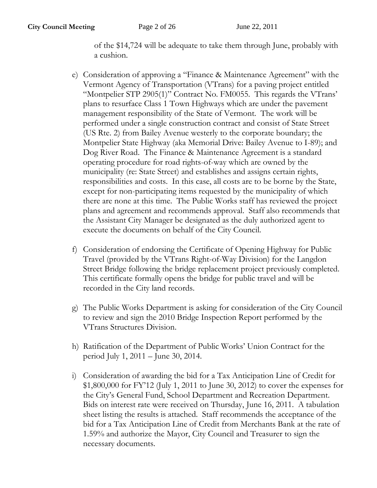of the \$14,724 will be adequate to take them through June, probably with a cushion.

- e) Consideration of approving a "Finance & Maintenance Agreement" with the Vermont Agency of Transportation (VTrans) for a paving project entitled "Montpelier STP 2905(1)" Contract No. FM0055. This regards the VTrans' plans to resurface Class 1 Town Highways which are under the pavement management responsibility of the State of Vermont. The work will be performed under a single construction contract and consist of State Street (US Rte. 2) from Bailey Avenue westerly to the corporate boundary; the Montpelier State Highway (aka Memorial Drive: Bailey Avenue to I-89); and Dog River Road. The Finance & Maintenance Agreement is a standard operating procedure for road rights-of-way which are owned by the municipality (re: State Street) and establishes and assigns certain rights, responsibilities and costs. In this case, all costs are to be borne by the State, except for non-participating items requested by the municipality of which there are none at this time. The Public Works staff has reviewed the project plans and agreement and recommends approval. Staff also recommends that the Assistant City Manager be designated as the duly authorized agent to execute the documents on behalf of the City Council.
- f) Consideration of endorsing the Certificate of Opening Highway for Public Travel (provided by the VTrans Right-of-Way Division) for the Langdon Street Bridge following the bridge replacement project previously completed. This certificate formally opens the bridge for public travel and will be recorded in the City land records.
- g) The Public Works Department is asking for consideration of the City Council to review and sign the 2010 Bridge Inspection Report performed by the VTrans Structures Division.
- h) Ratification of the Department of Public Works' Union Contract for the period July 1, 2011 – June 30, 2014.
- i) Consideration of awarding the bid for a Tax Anticipation Line of Credit for \$1,800,000 for FY'12 (July 1, 2011 to June 30, 2012) to cover the expenses for the City's General Fund, School Department and Recreation Department. Bids on interest rate were received on Thursday, June 16, 2011. A tabulation sheet listing the results is attached. Staff recommends the acceptance of the bid for a Tax Anticipation Line of Credit from Merchants Bank at the rate of 1.59% and authorize the Mayor, City Council and Treasurer to sign the necessary documents.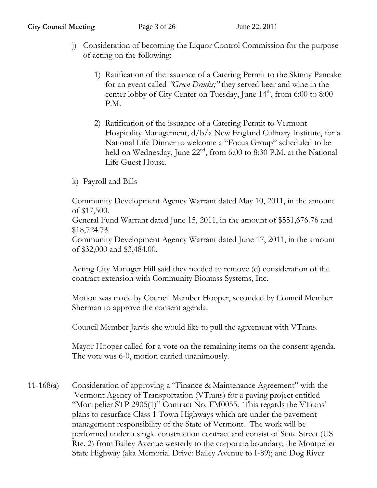- j) Consideration of becoming the Liquor Control Commission for the purpose of acting on the following:
	- 1) Ratification of the issuance of a Catering Permit to the Skinny Pancake for an event called *"Green Drinks;"* they served beer and wine in the center lobby of City Center on Tuesday, June  $14<sup>th</sup>$ , from 6:00 to 8:00 P.M.
	- 2) Ratification of the issuance of a Catering Permit to Vermont Hospitality Management, d/b/a New England Culinary Institute, for a National Life Dinner to welcome a "Focus Group" scheduled to be held on Wednesday, June 22<sup>nd</sup>, from 6:00 to 8:30 P.M. at the National Life Guest House.
- k) Payroll and Bills

Community Development Agency Warrant dated May 10, 2011, in the amount of \$17,500.

General Fund Warrant dated June 15, 2011, in the amount of \$551,676.76 and \$18,724.73.

Community Development Agency Warrant dated June 17, 2011, in the amount of \$32,000 and \$3,484.00.

Acting City Manager Hill said they needed to remove (d) consideration of the contract extension with Community Biomass Systems, Inc.

Motion was made by Council Member Hooper, seconded by Council Member Sherman to approve the consent agenda.

Council Member Jarvis she would like to pull the agreement with VTrans.

Mayor Hooper called for a vote on the remaining items on the consent agenda. The vote was 6-0, motion carried unanimously.

11-168(a) Consideration of approving a "Finance & Maintenance Agreement" with the Vermont Agency of Transportation (VTrans) for a paving project entitled "Montpelier STP 2905(1)" Contract No. FM0055. This regards the VTrans' plans to resurface Class 1 Town Highways which are under the pavement management responsibility of the State of Vermont. The work will be performed under a single construction contract and consist of State Street (US Rte. 2) from Bailey Avenue westerly to the corporate boundary; the Montpelier State Highway (aka Memorial Drive: Bailey Avenue to I-89); and Dog River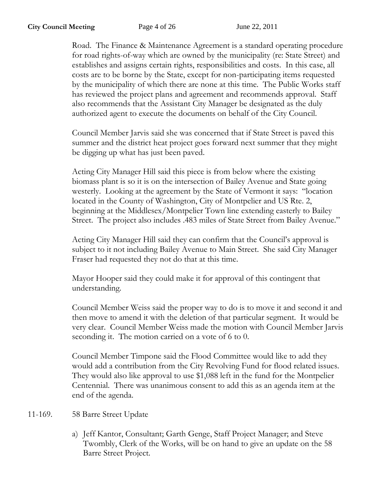Road. The Finance & Maintenance Agreement is a standard operating procedure for road rights-of-way which are owned by the municipality (re: State Street) and establishes and assigns certain rights, responsibilities and costs. In this case, all costs are to be borne by the State, except for non-participating items requested by the municipality of which there are none at this time. The Public Works staff has reviewed the project plans and agreement and recommends approval. Staff also recommends that the Assistant City Manager be designated as the duly authorized agent to execute the documents on behalf of the City Council.

Council Member Jarvis said she was concerned that if State Street is paved this summer and the district heat project goes forward next summer that they might be digging up what has just been paved.

Acting City Manager Hill said this piece is from below where the existing biomass plant is so it is on the intersection of Bailey Avenue and State going westerly. Looking at the agreement by the State of Vermont it says: "location located in the County of Washington, City of Montpelier and US Rte. 2, beginning at the Middlesex/Montpelier Town line extending easterly to Bailey Street. The project also includes .483 miles of State Street from Bailey Avenue."

Acting City Manager Hill said they can confirm that the Council's approval is subject to it not including Bailey Avenue to Main Street. She said City Manager Fraser had requested they not do that at this time.

Mayor Hooper said they could make it for approval of this contingent that understanding.

Council Member Weiss said the proper way to do is to move it and second it and then move to amend it with the deletion of that particular segment. It would be very clear. Council Member Weiss made the motion with Council Member Jarvis seconding it. The motion carried on a vote of 6 to 0.

Council Member Timpone said the Flood Committee would like to add they would add a contribution from the City Revolving Fund for flood related issues. They would also like approval to use \$1,088 left in the fund for the Montpelier Centennial. There was unanimous consent to add this as an agenda item at the end of the agenda.

11-169. 58 Barre Street Update

a) Jeff Kantor, Consultant; Garth Genge, Staff Project Manager; and Steve Twombly, Clerk of the Works, will be on hand to give an update on the 58 Barre Street Project.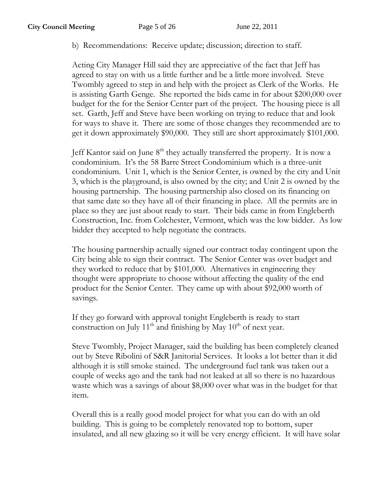b) Recommendations: Receive update; discussion; direction to staff.

Acting City Manager Hill said they are appreciative of the fact that Jeff has agreed to stay on with us a little further and be a little more involved. Steve Twombly agreed to step in and help with the project as Clerk of the Works. He is assisting Garth Genge. She reported the bids came in for about \$200,000 over budget for the for the Senior Center part of the project. The housing piece is all set. Garth, Jeff and Steve have been working on trying to reduce that and look for ways to shave it. There are some of those changes they recommended are to get it down approximately \$90,000. They still are short approximately \$101,000.

Jeff Kantor said on June  $8<sup>th</sup>$  they actually transferred the property. It is now a condominium. It's the 58 Barre Street Condominium which is a three-unit condominium. Unit 1, which is the Senior Center, is owned by the city and Unit 3, which is the playground, is also owned by the city; and Unit 2 is owned by the housing partnership. The housing partnership also closed on its financing on that same date so they have all of their financing in place. All the permits are in place so they are just about ready to start. Their bids came in from Engleberth Construction, Inc. from Colchester, Vermont, which was the low bidder. As low bidder they accepted to help negotiate the contracts.

The housing partnership actually signed our contract today contingent upon the City being able to sign their contract. The Senior Center was over budget and they worked to reduce that by \$101,000. Alternatives in engineering they thought were appropriate to choose without affecting the quality of the end product for the Senior Center. They came up with about \$92,000 worth of savings.

If they go forward with approval tonight Engleberth is ready to start construction on July  $11<sup>th</sup>$  and finishing by May  $10<sup>th</sup>$  of next year.

Steve Twombly, Project Manager, said the building has been completely cleaned out by Steve Ribolini of S&R Janitorial Services. It looks a lot better than it did although it is still smoke stained. The underground fuel tank was taken out a couple of weeks ago and the tank had not leaked at all so there is no hazardous waste which was a savings of about \$8,000 over what was in the budget for that item.

Overall this is a really good model project for what you can do with an old building. This is going to be completely renovated top to bottom, super insulated, and all new glazing so it will be very energy efficient. It will have solar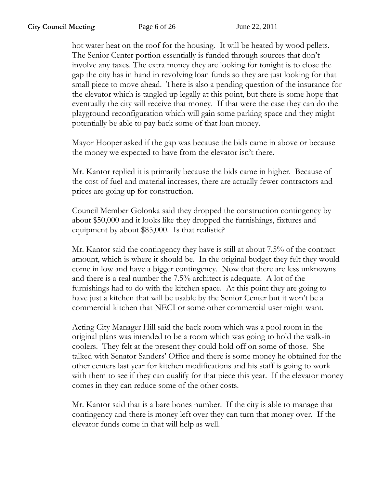hot water heat on the roof for the housing. It will be heated by wood pellets. The Senior Center portion essentially is funded through sources that don't involve any taxes. The extra money they are looking for tonight is to close the gap the city has in hand in revolving loan funds so they are just looking for that small piece to move ahead. There is also a pending question of the insurance for the elevator which is tangled up legally at this point, but there is some hope that eventually the city will receive that money. If that were the case they can do the playground reconfiguration which will gain some parking space and they might potentially be able to pay back some of that loan money.

Mayor Hooper asked if the gap was because the bids came in above or because the money we expected to have from the elevator isn't there.

Mr. Kantor replied it is primarily because the bids came in higher. Because of the cost of fuel and material increases, there are actually fewer contractors and prices are going up for construction.

Council Member Golonka said they dropped the construction contingency by about \$50,000 and it looks like they dropped the furnishings, fixtures and equipment by about \$85,000. Is that realistic?

Mr. Kantor said the contingency they have is still at about 7.5% of the contract amount, which is where it should be. In the original budget they felt they would come in low and have a bigger contingency. Now that there are less unknowns and there is a real number the 7.5% architect is adequate. A lot of the furnishings had to do with the kitchen space. At this point they are going to have just a kitchen that will be usable by the Senior Center but it won't be a commercial kitchen that NECI or some other commercial user might want.

Acting City Manager Hill said the back room which was a pool room in the original plans was intended to be a room which was going to hold the walk-in coolers. They felt at the present they could hold off on some of those. She talked with Senator Sanders' Office and there is some money he obtained for the other centers last year for kitchen modifications and his staff is going to work with them to see if they can qualify for that piece this year. If the elevator money comes in they can reduce some of the other costs.

Mr. Kantor said that is a bare bones number. If the city is able to manage that contingency and there is money left over they can turn that money over. If the elevator funds come in that will help as well.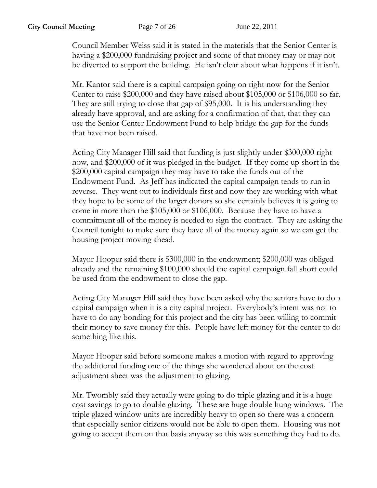Council Member Weiss said it is stated in the materials that the Senior Center is having a \$200,000 fundraising project and some of that money may or may not be diverted to support the building. He isn't clear about what happens if it isn't.

Mr. Kantor said there is a capital campaign going on right now for the Senior Center to raise \$200,000 and they have raised about \$105,000 or \$106,000 so far. They are still trying to close that gap of \$95,000. It is his understanding they already have approval, and are asking for a confirmation of that, that they can use the Senior Center Endowment Fund to help bridge the gap for the funds that have not been raised.

Acting City Manager Hill said that funding is just slightly under \$300,000 right now, and \$200,000 of it was pledged in the budget. If they come up short in the \$200,000 capital campaign they may have to take the funds out of the Endowment Fund. As Jeff has indicated the capital campaign tends to run in reverse. They went out to individuals first and now they are working with what they hope to be some of the larger donors so she certainly believes it is going to come in more than the \$105,000 or \$106,000. Because they have to have a commitment all of the money is needed to sign the contract. They are asking the Council tonight to make sure they have all of the money again so we can get the housing project moving ahead.

Mayor Hooper said there is \$300,000 in the endowment; \$200,000 was obliged already and the remaining \$100,000 should the capital campaign fall short could be used from the endowment to close the gap.

Acting City Manager Hill said they have been asked why the seniors have to do a capital campaign when it is a city capital project. Everybody's intent was not to have to do any bonding for this project and the city has been willing to commit their money to save money for this. People have left money for the center to do something like this.

Mayor Hooper said before someone makes a motion with regard to approving the additional funding one of the things she wondered about on the cost adjustment sheet was the adjustment to glazing.

Mr. Twombly said they actually were going to do triple glazing and it is a huge cost savings to go to double glazing. These are huge double hung windows. The triple glazed window units are incredibly heavy to open so there was a concern that especially senior citizens would not be able to open them. Housing was not going to accept them on that basis anyway so this was something they had to do.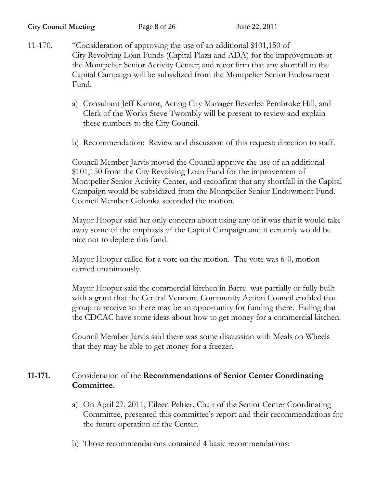- 11-170. "Consideration of approving the use of an additional \$101,150 of City Revolving Loan Funds (Capital Plaza and ADA) for the improvements at the Montpelier Senior Activity Center; and reconfirm that any shortfall in the Capital Campaign will be subsidized from the Montpelier Senior Endowment Fund.
	- a) Consultant Jeff Kantor, Acting City Manager Beverlee Pembroke Hill, and Clerk of the Works Steve Twombly will be present to review and explain these numbers to the City Council.
	- b) Recommendation: Review and discussion of this request; direction to staff.

Council Member Jarvis moved the Council approve the use of an additional \$101,150 from the City Revolving Loan Fund for the improvement of Montpelier Senior Activity Center, and reconfirm that any shortfall in the Capital Campaign would be subsidized from the Montpelier Senior Endowment Fund. Council Member Golonka seconded the motion.

Mayor Hooper said her only concern about using any of it was that it would take away some of the emphasis of the Capital Campaign and it certainly would be nice not to deplete this fund.

Mayor Hooper called for a vote on the motion. The vote was 6-0, motion carried unanimously.

Mayor Hooper said the commercial kitchen in Barre was partially or fully built with a grant that the Central Vermont Community Action Council enabled that group to receive so there may be an opportunity for funding there. Failing that the CDCAC have some ideas about how to get money for a commercial kitchen.

Council Member Jarvis said there was some discussion with Meals on Wheels that they may be able to get money for a freezer.

## **11-171.** Consideration of the **Recommendations of Senior Center Coordinating Committee.**

- a) On April 27, 2011, Eileen Peltier, Chair of the Senior Center Coordinating Committee, presented this committee's report and their recommendations for the future operation of the Center.
- b) Those recommendations contained 4 basic recommendations: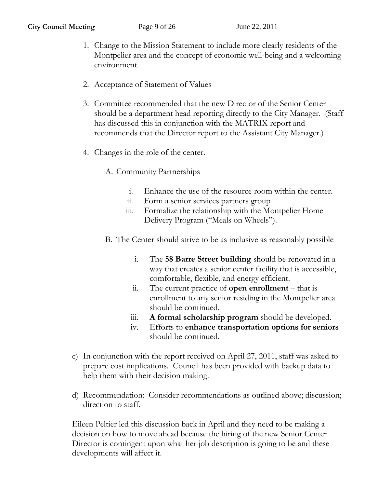- 1. Change to the Mission Statement to include more clearly residents of the Montpelier area and the concept of economic well-being and a welcoming environment.
- 2. Acceptance of Statement of Values
- 3. Committee recommended that the new Director of the Senior Center should be a department head reporting directly to the City Manager. (Staff has discussed this in conjunction with the MATRIX report and recommends that the Director report to the Assistant City Manager.)
- 4. Changes in the role of the center.
	- A. Community Partnerships
		- i. Enhance the use of the resource room within the center.
		- ii. Form a senior services partners group
		- iii. Formalize the relationship with the Montpelier Home Delivery Program ("Meals on Wheels").
	- B. The Center should strive to be as inclusive as reasonably possible
		- i. The **58 Barre Street building** should be renovated in a way that creates a senior center facility that is accessible, comfortable, flexible, and energy efficient.
		- ii. The current practice of **open enrollment** that is enrollment to any senior residing in the Montpelier area should be continued.
		- iii. **A formal scholarship program** should be developed.
		- iv. Efforts to **enhance transportation options for seniors** should be continued.
- c) In conjunction with the report received on April 27, 2011, staff was asked to prepare cost implications. Council has been provided with backup data to help them with their decision making.
- d) Recommendation: Consider recommendations as outlined above; discussion; direction to staff.

Eileen Peltier led this discussion back in April and they need to be making a decision on how to move ahead because the hiring of the new Senior Center Director is contingent upon what her job description is going to be and these developments will affect it.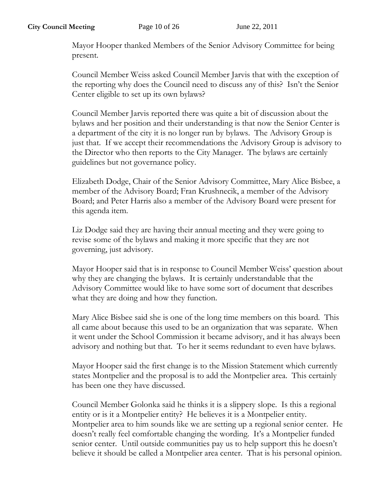Mayor Hooper thanked Members of the Senior Advisory Committee for being present.

Council Member Weiss asked Council Member Jarvis that with the exception of the reporting why does the Council need to discuss any of this? Isn't the Senior Center eligible to set up its own bylaws?

Council Member Jarvis reported there was quite a bit of discussion about the bylaws and her position and their understanding is that now the Senior Center is a department of the city it is no longer run by bylaws. The Advisory Group is just that. If we accept their recommendations the Advisory Group is advisory to the Director who then reports to the City Manager. The bylaws are certainly guidelines but not governance policy.

Elizabeth Dodge, Chair of the Senior Advisory Committee, Mary Alice Bisbee, a member of the Advisory Board; Fran Krushnecik, a member of the Advisory Board; and Peter Harris also a member of the Advisory Board were present for this agenda item.

Liz Dodge said they are having their annual meeting and they were going to revise some of the bylaws and making it more specific that they are not governing, just advisory.

Mayor Hooper said that is in response to Council Member Weiss' question about why they are changing the bylaws. It is certainly understandable that the Advisory Committee would like to have some sort of document that describes what they are doing and how they function.

Mary Alice Bisbee said she is one of the long time members on this board. This all came about because this used to be an organization that was separate. When it went under the School Commission it became advisory, and it has always been advisory and nothing but that. To her it seems redundant to even have bylaws.

Mayor Hooper said the first change is to the Mission Statement which currently states Montpelier and the proposal is to add the Montpelier area. This certainly has been one they have discussed.

Council Member Golonka said he thinks it is a slippery slope. Is this a regional entity or is it a Montpelier entity? He believes it is a Montpelier entity. Montpelier area to him sounds like we are setting up a regional senior center. He doesn't really feel comfortable changing the wording. It's a Montpelier funded senior center. Until outside communities pay us to help support this he doesn't believe it should be called a Montpelier area center. That is his personal opinion.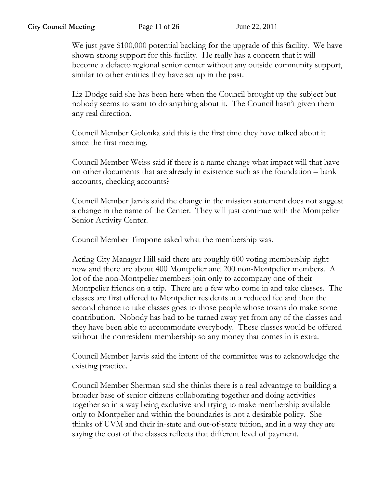We just gave \$100,000 potential backing for the upgrade of this facility. We have shown strong support for this facility. He really has a concern that it will become a defacto regional senior center without any outside community support, similar to other entities they have set up in the past.

Liz Dodge said she has been here when the Council brought up the subject but nobody seems to want to do anything about it. The Council hasn't given them any real direction.

Council Member Golonka said this is the first time they have talked about it since the first meeting.

Council Member Weiss said if there is a name change what impact will that have on other documents that are already in existence such as the foundation – bank accounts, checking accounts?

Council Member Jarvis said the change in the mission statement does not suggest a change in the name of the Center. They will just continue with the Montpelier Senior Activity Center.

Council Member Timpone asked what the membership was.

Acting City Manager Hill said there are roughly 600 voting membership right now and there are about 400 Montpelier and 200 non-Montpelier members. A lot of the non-Montpelier members join only to accompany one of their Montpelier friends on a trip. There are a few who come in and take classes. The classes are first offered to Montpelier residents at a reduced fee and then the second chance to take classes goes to those people whose towns do make some contribution. Nobody has had to be turned away yet from any of the classes and they have been able to accommodate everybody. These classes would be offered without the nonresident membership so any money that comes in is extra.

Council Member Jarvis said the intent of the committee was to acknowledge the existing practice.

Council Member Sherman said she thinks there is a real advantage to building a broader base of senior citizens collaborating together and doing activities together so in a way being exclusive and trying to make membership available only to Montpelier and within the boundaries is not a desirable policy. She thinks of UVM and their in-state and out-of-state tuition, and in a way they are saying the cost of the classes reflects that different level of payment.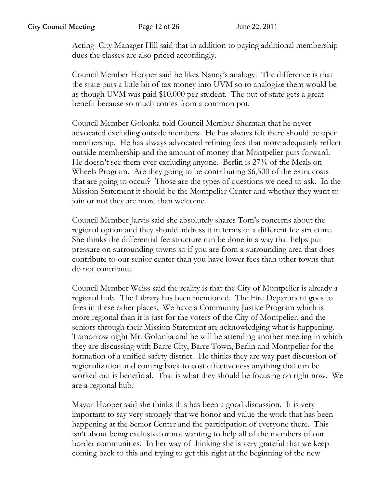Acting City Manager Hill said that in addition to paying additional membership dues the classes are also priced accordingly.

Council Member Hooper said he likes Nancy's analogy. The difference is that the state puts a little bit of tax money into UVM so to analogize them would be as though UVM was paid \$10,000 per student. The out of state gets a great benefit because so much comes from a common pot.

Council Member Golonka told Council Member Sherman that he never advocated excluding outside members. He has always felt there should be open membership. He has always advocated refining fees that more adequately reflect outside membership and the amount of money that Montpelier puts forward. He doesn't see them ever excluding anyone. Berlin is 27% of the Meals on Wheels Program. Are they going to be contributing \$6,500 of the extra costs that are going to occur? Those are the types of questions we need to ask. In the Mission Statement it should be the Montpelier Center and whether they want to join or not they are more than welcome.

Council Member Jarvis said she absolutely shares Tom's concerns about the regional option and they should address it in terms of a different fee structure. She thinks the differential fee structure can be done in a way that helps put pressure on surrounding towns so if you are from a surrounding area that does contribute to our senior center than you have lower fees than other towns that do not contribute.

Council Member Weiss said the reality is that the City of Montpelier is already a regional hub. The Library has been mentioned. The Fire Department goes to fires in these other places. We have a Community Justice Program which is more regional than it is just for the voters of the City of Montpelier, and the seniors through their Mission Statement are acknowledging what is happening. Tomorrow night Mr. Golonka and he will be attending another meeting in which they are discussing with Barre City, Barre Town, Berlin and Montpelier for the formation of a unified safety district. He thinks they are way past discussion of regionalization and coming back to cost effectiveness anything that can be worked out is beneficial. That is what they should be focusing on right now. We are a regional hub.

Mayor Hooper said she thinks this has been a good discussion. It is very important to say very strongly that we honor and value the work that has been happening at the Senior Center and the participation of everyone there. This isn't about being exclusive or not wanting to help all of the members of our border communities. In her way of thinking she is very grateful that we keep coming back to this and trying to get this right at the beginning of the new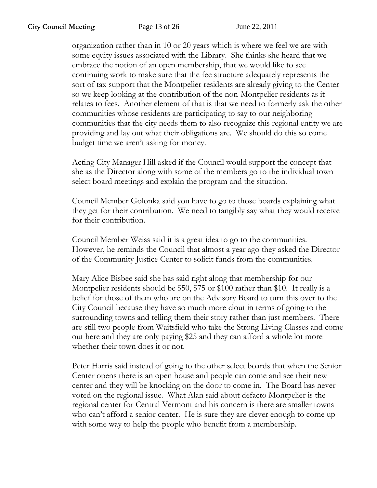organization rather than in 10 or 20 years which is where we feel we are with some equity issues associated with the Library. She thinks she heard that we embrace the notion of an open membership, that we would like to see continuing work to make sure that the fee structure adequately represents the sort of tax support that the Montpelier residents are already giving to the Center so we keep looking at the contribution of the non-Montpelier residents as it relates to fees. Another element of that is that we need to formerly ask the other communities whose residents are participating to say to our neighboring communities that the city needs them to also recognize this regional entity we are providing and lay out what their obligations are. We should do this so come budget time we aren't asking for money.

Acting City Manager Hill asked if the Council would support the concept that she as the Director along with some of the members go to the individual town select board meetings and explain the program and the situation.

Council Member Golonka said you have to go to those boards explaining what they get for their contribution. We need to tangibly say what they would receive for their contribution.

Council Member Weiss said it is a great idea to go to the communities. However, he reminds the Council that almost a year ago they asked the Director of the Community Justice Center to solicit funds from the communities.

Mary Alice Bisbee said she has said right along that membership for our Montpelier residents should be \$50, \$75 or \$100 rather than \$10. It really is a belief for those of them who are on the Advisory Board to turn this over to the City Council because they have so much more clout in terms of going to the surrounding towns and telling them their story rather than just members. There are still two people from Waitsfield who take the Strong Living Classes and come out here and they are only paying \$25 and they can afford a whole lot more whether their town does it or not.

Peter Harris said instead of going to the other select boards that when the Senior Center opens there is an open house and people can come and see their new center and they will be knocking on the door to come in. The Board has never voted on the regional issue. What Alan said about defacto Montpelier is the regional center for Central Vermont and his concern is there are smaller towns who can't afford a senior center. He is sure they are clever enough to come up with some way to help the people who benefit from a membership.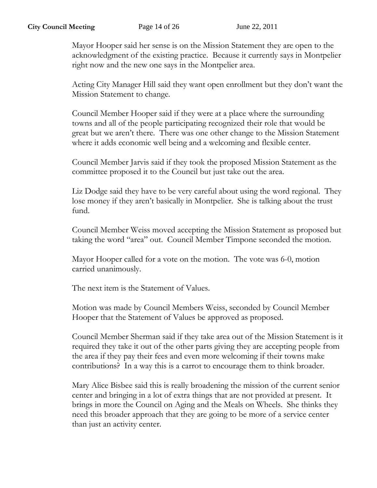Mayor Hooper said her sense is on the Mission Statement they are open to the acknowledgment of the existing practice. Because it currently says in Montpelier right now and the new one says in the Montpelier area.

Acting City Manager Hill said they want open enrollment but they don't want the Mission Statement to change.

Council Member Hooper said if they were at a place where the surrounding towns and all of the people participating recognized their role that would be great but we aren't there. There was one other change to the Mission Statement where it adds economic well being and a welcoming and flexible center.

Council Member Jarvis said if they took the proposed Mission Statement as the committee proposed it to the Council but just take out the area.

Liz Dodge said they have to be very careful about using the word regional. They lose money if they aren't basically in Montpelier. She is talking about the trust fund.

Council Member Weiss moved accepting the Mission Statement as proposed but taking the word "area" out. Council Member Timpone seconded the motion.

Mayor Hooper called for a vote on the motion. The vote was 6-0, motion carried unanimously.

The next item is the Statement of Values.

Motion was made by Council Members Weiss, seconded by Council Member Hooper that the Statement of Values be approved as proposed.

Council Member Sherman said if they take area out of the Mission Statement is it required they take it out of the other parts giving they are accepting people from the area if they pay their fees and even more welcoming if their towns make contributions? In a way this is a carrot to encourage them to think broader.

Mary Alice Bisbee said this is really broadening the mission of the current senior center and bringing in a lot of extra things that are not provided at present. It brings in more the Council on Aging and the Meals on Wheels. She thinks they need this broader approach that they are going to be more of a service center than just an activity center.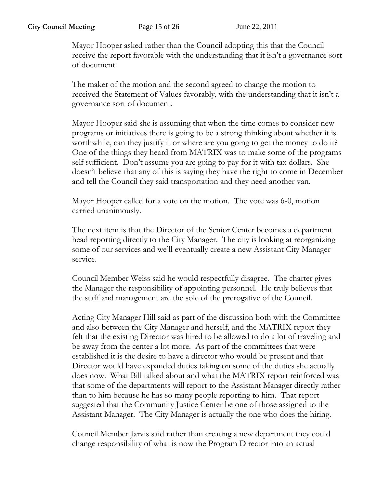Mayor Hooper asked rather than the Council adopting this that the Council receive the report favorable with the understanding that it isn't a governance sort of document.

The maker of the motion and the second agreed to change the motion to received the Statement of Values favorably, with the understanding that it isn't a governance sort of document.

Mayor Hooper said she is assuming that when the time comes to consider new programs or initiatives there is going to be a strong thinking about whether it is worthwhile, can they justify it or where are you going to get the money to do it? One of the things they heard from MATRIX was to make some of the programs self sufficient. Don't assume you are going to pay for it with tax dollars. She doesn't believe that any of this is saying they have the right to come in December and tell the Council they said transportation and they need another van.

Mayor Hooper called for a vote on the motion. The vote was 6-0, motion carried unanimously.

The next item is that the Director of the Senior Center becomes a department head reporting directly to the City Manager. The city is looking at reorganizing some of our services and we'll eventually create a new Assistant City Manager service.

Council Member Weiss said he would respectfully disagree. The charter gives the Manager the responsibility of appointing personnel. He truly believes that the staff and management are the sole of the prerogative of the Council.

Acting City Manager Hill said as part of the discussion both with the Committee and also between the City Manager and herself, and the MATRIX report they felt that the existing Director was hired to be allowed to do a lot of traveling and be away from the center a lot more. As part of the committees that were established it is the desire to have a director who would be present and that Director would have expanded duties taking on some of the duties she actually does now. What Bill talked about and what the MATRIX report reinforced was that some of the departments will report to the Assistant Manager directly rather than to him because he has so many people reporting to him. That report suggested that the Community Justice Center be one of those assigned to the Assistant Manager. The City Manager is actually the one who does the hiring.

Council Member Jarvis said rather than creating a new department they could change responsibility of what is now the Program Director into an actual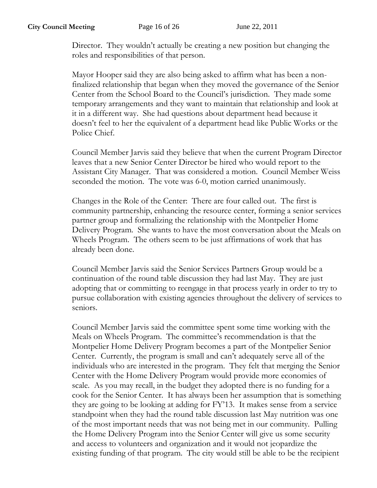Director. They wouldn't actually be creating a new position but changing the roles and responsibilities of that person.

Mayor Hooper said they are also being asked to affirm what has been a nonfinalized relationship that began when they moved the governance of the Senior Center from the School Board to the Council's jurisdiction. They made some temporary arrangements and they want to maintain that relationship and look at it in a different way. She had questions about department head because it doesn't feel to her the equivalent of a department head like Public Works or the Police Chief.

Council Member Jarvis said they believe that when the current Program Director leaves that a new Senior Center Director be hired who would report to the Assistant City Manager. That was considered a motion. Council Member Weiss seconded the motion. The vote was 6-0, motion carried unanimously.

Changes in the Role of the Center: There are four called out. The first is community partnership, enhancing the resource center, forming a senior services partner group and formalizing the relationship with the Montpelier Home Delivery Program. She wants to have the most conversation about the Meals on Wheels Program. The others seem to be just affirmations of work that has already been done.

Council Member Jarvis said the Senior Services Partners Group would be a continuation of the round table discussion they had last May. They are just adopting that or committing to reengage in that process yearly in order to try to pursue collaboration with existing agencies throughout the delivery of services to seniors.

Council Member Jarvis said the committee spent some time working with the Meals on Wheels Program. The committee's recommendation is that the Montpelier Home Delivery Program becomes a part of the Montpelier Senior Center. Currently, the program is small and can't adequately serve all of the individuals who are interested in the program. They felt that merging the Senior Center with the Home Delivery Program would provide more economies of scale. As you may recall, in the budget they adopted there is no funding for a cook for the Senior Center. It has always been her assumption that is something they are going to be looking at adding for FY'13. It makes sense from a service standpoint when they had the round table discussion last May nutrition was one of the most important needs that was not being met in our community. Pulling the Home Delivery Program into the Senior Center will give us some security and access to volunteers and organization and it would not jeopardize the existing funding of that program. The city would still be able to be the recipient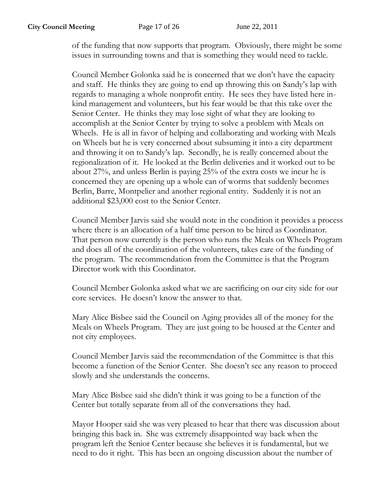of the funding that now supports that program. Obviously, there might be some issues in surrounding towns and that is something they would need to tackle.

Council Member Golonka said he is concerned that we don't have the capacity and staff. He thinks they are going to end up throwing this on Sandy's lap with regards to managing a whole nonprofit entity. He sees they have listed here inkind management and volunteers, but his fear would be that this take over the Senior Center. He thinks they may lose sight of what they are looking to accomplish at the Senior Center by trying to solve a problem with Meals on Wheels. He is all in favor of helping and collaborating and working with Meals on Wheels but he is very concerned about subsuming it into a city department and throwing it on to Sandy's lap. Secondly, he is really concerned about the regionalization of it. He looked at the Berlin deliveries and it worked out to be about 27%, and unless Berlin is paying 25% of the extra costs we incur he is concerned they are opening up a whole can of worms that suddenly becomes Berlin, Barre, Montpelier and another regional entity. Suddenly it is not an additional \$23,000 cost to the Senior Center.

Council Member Jarvis said she would note in the condition it provides a process where there is an allocation of a half time person to be hired as Coordinator. That person now currently is the person who runs the Meals on Wheels Program and does all of the coordination of the volunteers, takes care of the funding of the program. The recommendation from the Committee is that the Program Director work with this Coordinator.

Council Member Golonka asked what we are sacrificing on our city side for our core services. He doesn't know the answer to that.

Mary Alice Bisbee said the Council on Aging provides all of the money for the Meals on Wheels Program. They are just going to be housed at the Center and not city employees.

Council Member Jarvis said the recommendation of the Committee is that this become a function of the Senior Center. She doesn't see any reason to proceed slowly and she understands the concerns.

Mary Alice Bisbee said she didn't think it was going to be a function of the Center but totally separate from all of the conversations they had.

Mayor Hooper said she was very pleased to hear that there was discussion about bringing this back in. She was extremely disappointed way back when the program left the Senior Center because she believes it is fundamental, but we need to do it right. This has been an ongoing discussion about the number of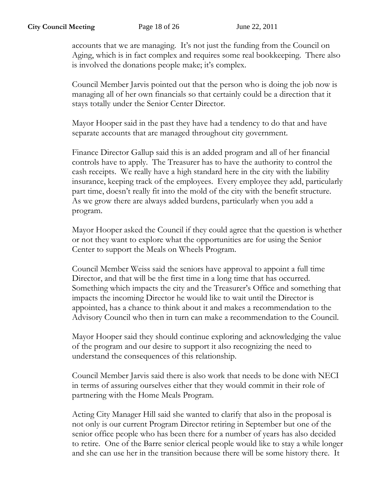accounts that we are managing. It's not just the funding from the Council on Aging, which is in fact complex and requires some real bookkeeping. There also is involved the donations people make; it's complex.

Council Member Jarvis pointed out that the person who is doing the job now is managing all of her own financials so that certainly could be a direction that it stays totally under the Senior Center Director.

Mayor Hooper said in the past they have had a tendency to do that and have separate accounts that are managed throughout city government.

Finance Director Gallup said this is an added program and all of her financial controls have to apply. The Treasurer has to have the authority to control the cash receipts. We really have a high standard here in the city with the liability insurance, keeping track of the employees. Every employee they add, particularly part time, doesn't really fit into the mold of the city with the benefit structure. As we grow there are always added burdens, particularly when you add a program.

Mayor Hooper asked the Council if they could agree that the question is whether or not they want to explore what the opportunities are for using the Senior Center to support the Meals on Wheels Program.

Council Member Weiss said the seniors have approval to appoint a full time Director, and that will be the first time in a long time that has occurred. Something which impacts the city and the Treasurer's Office and something that impacts the incoming Director he would like to wait until the Director is appointed, has a chance to think about it and makes a recommendation to the Advisory Council who then in turn can make a recommendation to the Council.

Mayor Hooper said they should continue exploring and acknowledging the value of the program and our desire to support it also recognizing the need to understand the consequences of this relationship.

Council Member Jarvis said there is also work that needs to be done with NECI in terms of assuring ourselves either that they would commit in their role of partnering with the Home Meals Program.

Acting City Manager Hill said she wanted to clarify that also in the proposal is not only is our current Program Director retiring in September but one of the senior office people who has been there for a number of years has also decided to retire. One of the Barre senior clerical people would like to stay a while longer and she can use her in the transition because there will be some history there. It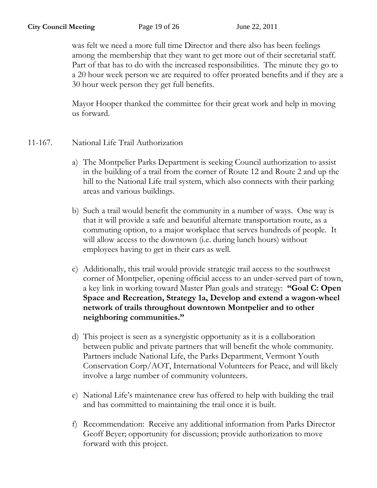was felt we need a more full time Director and there also has been feelings among the membership that they want to get more out of their secretarial staff. Part of that has to do with the increased responsibilities. The minute they go to a 20 hour week person we are required to offer prorated benefits and if they are a 30 hour week person they get full benefits.

Mayor Hooper thanked the committee for their great work and help in moving us forward.

- 11-167. National Life Trail Authorization
	- a) The Montpelier Parks Department is seeking Council authorization to assist in the building of a trail from the corner of Route 12 and Route 2 and up the hill to the National Life trail system, which also connects with their parking areas and various buildings.
	- b) Such a trail would benefit the community in a number of ways. One way is that it will provide a safe and beautiful alternate transportation route, as a commuting option, to a major workplace that serves hundreds of people. It will allow access to the downtown (i.e. during lunch hours) without employees having to get in their cars as well.
	- c) Additionally, this trail would provide strategic trail access to the southwest corner of Montpelier, opening official access to an under-served part of town, a key link in working toward Master Plan goals and strategy: **"Goal C: Open Space and Recreation, Strategy 1a, Develop and extend a wagon-wheel network of trails throughout downtown Montpelier and to other neighboring communities."**
	- d) This project is seen as a synergistic opportunity as it is a collaboration between public and private partners that will benefit the whole community. Partners include National Life, the Parks Department, Vermont Youth Conservation Corp/AOT, International Volunteers for Peace, and will likely involve a large number of community volunteers.
	- e) National Life's maintenance crew has offered to help with building the trail and has committed to maintaining the trail once it is built.
	- f) Recommendation: Receive any additional information from Parks Director Geoff Beyer; opportunity for discussion; provide authorization to move forward with this project.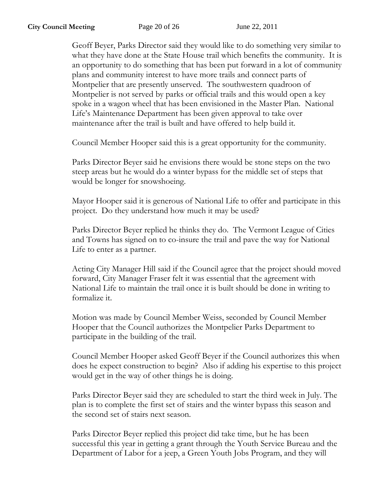Geoff Beyer, Parks Director said they would like to do something very similar to what they have done at the State House trail which benefits the community. It is an opportunity to do something that has been put forward in a lot of community plans and community interest to have more trails and connect parts of Montpelier that are presently unserved. The southwestern quadroon of Montpelier is not served by parks or official trails and this would open a key spoke in a wagon wheel that has been envisioned in the Master Plan. National Life's Maintenance Department has been given approval to take over maintenance after the trail is built and have offered to help build it.

Council Member Hooper said this is a great opportunity for the community.

Parks Director Beyer said he envisions there would be stone steps on the two steep areas but he would do a winter bypass for the middle set of steps that would be longer for snowshoeing.

Mayor Hooper said it is generous of National Life to offer and participate in this project. Do they understand how much it may be used?

Parks Director Beyer replied he thinks they do. The Vermont League of Cities and Towns has signed on to co-insure the trail and pave the way for National Life to enter as a partner.

Acting City Manager Hill said if the Council agree that the project should moved forward, City Manager Fraser felt it was essential that the agreement with National Life to maintain the trail once it is built should be done in writing to formalize it.

Motion was made by Council Member Weiss, seconded by Council Member Hooper that the Council authorizes the Montpelier Parks Department to participate in the building of the trail.

Council Member Hooper asked Geoff Beyer if the Council authorizes this when does he expect construction to begin? Also if adding his expertise to this project would get in the way of other things he is doing.

Parks Director Beyer said they are scheduled to start the third week in July. The plan is to complete the first set of stairs and the winter bypass this season and the second set of stairs next season.

Parks Director Beyer replied this project did take time, but he has been successful this year in getting a grant through the Youth Service Bureau and the Department of Labor for a jeep, a Green Youth Jobs Program, and they will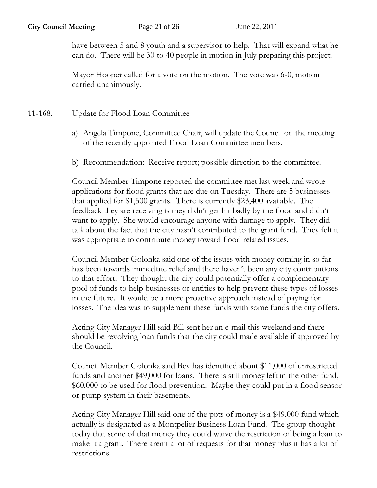have between 5 and 8 youth and a supervisor to help. That will expand what he can do. There will be 30 to 40 people in motion in July preparing this project.

Mayor Hooper called for a vote on the motion. The vote was 6-0, motion carried unanimously.

- 11-168. Update for Flood Loan Committee
	- a) Angela Timpone, Committee Chair, will update the Council on the meeting of the recently appointed Flood Loan Committee members.
	- b) Recommendation: Receive report; possible direction to the committee.

Council Member Timpone reported the committee met last week and wrote applications for flood grants that are due on Tuesday. There are 5 businesses that applied for \$1,500 grants. There is currently \$23,400 available. The feedback they are receiving is they didn't get hit badly by the flood and didn't want to apply. She would encourage anyone with damage to apply. They did talk about the fact that the city hasn't contributed to the grant fund. They felt it was appropriate to contribute money toward flood related issues.

Council Member Golonka said one of the issues with money coming in so far has been towards immediate relief and there haven't been any city contributions to that effort. They thought the city could potentially offer a complementary pool of funds to help businesses or entities to help prevent these types of losses in the future. It would be a more proactive approach instead of paying for losses. The idea was to supplement these funds with some funds the city offers.

Acting City Manager Hill said Bill sent her an e-mail this weekend and there should be revolving loan funds that the city could made available if approved by the Council.

Council Member Golonka said Bev has identified about \$11,000 of unrestricted funds and another \$49,000 for loans. There is still money left in the other fund, \$60,000 to be used for flood prevention. Maybe they could put in a flood sensor or pump system in their basements.

Acting City Manager Hill said one of the pots of money is a \$49,000 fund which actually is designated as a Montpelier Business Loan Fund. The group thought today that some of that money they could waive the restriction of being a loan to make it a grant. There aren't a lot of requests for that money plus it has a lot of restrictions.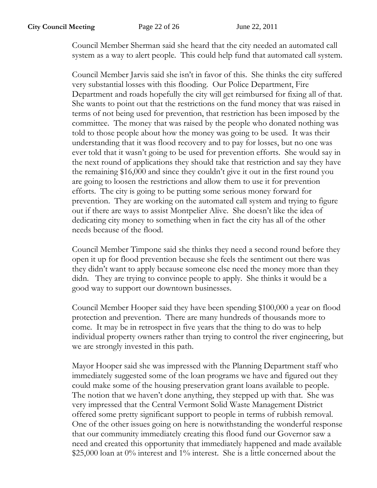Council Member Sherman said she heard that the city needed an automated call system as a way to alert people. This could help fund that automated call system.

Council Member Jarvis said she isn't in favor of this. She thinks the city suffered very substantial losses with this flooding. Our Police Department, Fire Department and roads hopefully the city will get reimbursed for fixing all of that. She wants to point out that the restrictions on the fund money that was raised in terms of not being used for prevention, that restriction has been imposed by the committee. The money that was raised by the people who donated nothing was told to those people about how the money was going to be used. It was their understanding that it was flood recovery and to pay for losses, but no one was ever told that it wasn't going to be used for prevention efforts. She would say in the next round of applications they should take that restriction and say they have the remaining \$16,000 and since they couldn't give it out in the first round you are going to loosen the restrictions and allow them to use it for prevention efforts. The city is going to be putting some serious money forward for prevention. They are working on the automated call system and trying to figure out if there are ways to assist Montpelier Alive. She doesn't like the idea of dedicating city money to something when in fact the city has all of the other needs because of the flood.

Council Member Timpone said she thinks they need a second round before they open it up for flood prevention because she feels the sentiment out there was they didn't want to apply because someone else need the money more than they didn. They are trying to convince people to apply. She thinks it would be a good way to support our downtown businesses.

Council Member Hooper said they have been spending \$100,000 a year on flood protection and prevention. There are many hundreds of thousands more to come. It may be in retrospect in five years that the thing to do was to help individual property owners rather than trying to control the river engineering, but we are strongly invested in this path.

Mayor Hooper said she was impressed with the Planning Department staff who immediately suggested some of the loan programs we have and figured out they could make some of the housing preservation grant loans available to people. The notion that we haven't done anything, they stepped up with that. She was very impressed that the Central Vermont Solid Waste Management District offered some pretty significant support to people in terms of rubbish removal. One of the other issues going on here is notwithstanding the wonderful response that our community immediately creating this flood fund our Governor saw a need and created this opportunity that immediately happened and made available \$25,000 loan at 0% interest and 1% interest. She is a little concerned about the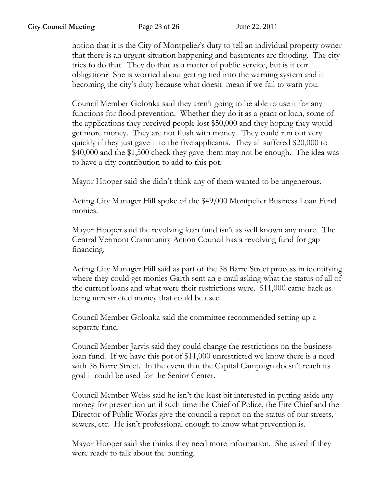notion that it is the City of Montpelier's duty to tell an individual property owner that there is an urgent situation happening and basements are flooding. The city tries to do that. They do that as a matter of public service, but is it our obligation? She is worried about getting tied into the warning system and it becoming the city's duty because what doesit mean if we fail to warn you.

Council Member Golonka said they aren't going to be able to use it for any functions for flood prevention. Whether they do it as a grant or loan, some of the applications they received people lost \$50,000 and they hoping they would get more money. They are not flush with money. They could run out very quickly if they just gave it to the five applicants. They all suffered \$20,000 to \$40,000 and the \$1,500 check they gave them may not be enough. The idea was to have a city contribution to add to this pot.

Mayor Hooper said she didn't think any of them wanted to be ungenerous.

Acting City Manager Hill spoke of the \$49,000 Montpelier Business Loan Fund monies.

Mayor Hooper said the revolving loan fund isn't as well known any more. The Central Vermont Community Action Council has a revolving fund for gap financing.

Acting City Manager Hill said as part of the 58 Barre Street process in identifying where they could get monies Garth sent an e-mail asking what the status of all of the current loans and what were their restrictions were. \$11,000 came back as being unrestricted money that could be used.

Council Member Golonka said the committee recommended setting up a separate fund.

Council Member Jarvis said they could change the restrictions on the business loan fund. If we have this pot of \$11,000 unrestricted we know there is a need with 58 Barre Street. In the event that the Capital Campaign doesn't reach its goal it could be used for the Senior Center.

Council Member Weiss said he isn't the least bit interested in putting aside any money for prevention until such time the Chief of Police, the Fire Chief and the Director of Public Works give the council a report on the status of our streets, sewers, etc. He isn't professional enough to know what prevention is.

Mayor Hooper said she thinks they need more information. She asked if they were ready to talk about the bunting.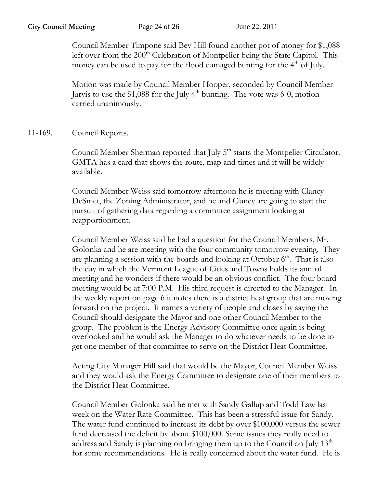Council Member Timpone said Bev Hill found another pot of money for \$1,088 left over from the 200<sup>th</sup> Celebration of Montpelier being the State Capitol. This money can be used to pay for the flood damaged bunting for the  $4<sup>th</sup>$  of July.

Motion was made by Council Member Hooper, seconded by Council Member Jarvis to use the  $$1,088$  for the July 4<sup>th</sup> bunting. The vote was 6-0, motion carried unanimously.

11-169. Council Reports.

Council Member Sherman reported that July 5<sup>th</sup> starts the Montpelier Circulator. GMTA has a card that shows the route, map and times and it will be widely available.

Council Member Weiss said tomorrow afternoon he is meeting with Clancy DeSmet, the Zoning Administrator, and he and Clancy are going to start the pursuit of gathering data regarding a committee assignment looking at reapportionment.

Council Member Weiss said he had a question for the Council Members, Mr. Golonka and he are meeting with the four community tomorrow evening. They are planning a session with the boards and looking at October  $6<sup>th</sup>$ . That is also the day in which the Vermont League of Cities and Towns holds its annual meeting and he wonders if there would be an obvious conflict. The four board meeting would be at 7:00 P.M. His third request is directed to the Manager. In the weekly report on page 6 it notes there is a district heat group that are moving forward on the project. It names a variety of people and closes by saying the Council should designate the Mayor and one other Council Member to the group. The problem is the Energy Advisory Committee once again is being overlooked and he would ask the Manager to do whatever needs to be done to get one member of that committee to serve on the District Heat Committee.

Acting City Manager Hill said that would be the Mayor, Council Member Weiss and they would ask the Energy Committee to designate one of their members to the District Heat Committee.

Council Member Golonka said he met with Sandy Gallup and Todd Law last week on the Water Rate Committee. This has been a stressful issue for Sandy. The water fund continued to increase its debt by over \$100,000 versus the sewer fund decreased the deficit by about \$100,000. Some issues they really need to address and Sandy is planning on bringing them up to the Council on July 13<sup>th</sup> for some recommendations. He is really concerned about the water fund. He is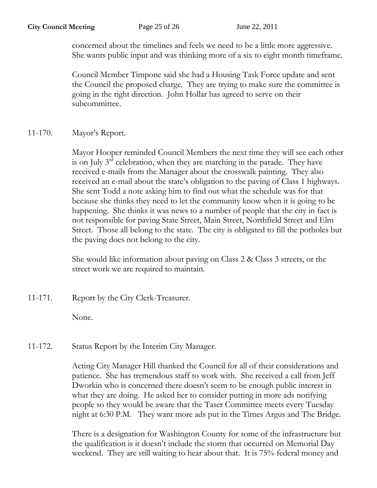concerned about the timelines and feels we need to be a little more aggressive. She wants public input and was thinking more of a six to eight month timeframe.

Council Member Timpone said she had a Housing Task Force update and sent the Council the proposed charge. They are trying to make sure the committee is going in the right direction. John Hollar has agreed to serve on their subcommittee.

11-170. Mayor's Report.

Mayor Hooper reminded Council Members the next time they will see each other is on July 3rd celebration, when they are marching in the parade. They have received e-mails from the Manager about the crosswalk painting. They also received an e-mail about the state's obligation to the paving of Class 1 highways. She sent Todd a note asking him to find out what the schedule was for that because she thinks they need to let the community know when it is going to be happening. She thinks it was news to a number of people that the city in fact is not responsible for paving State Street, Main Street, Northfield Street and Elm Street. Those all belong to the state. The city is obligated to fill the potholes but the paving does not belong to the city.

She would like information about paving on Class 2 & Class 3 streets, or the street work we are required to maintain.

11-171. Report by the City Clerk-Treasurer.

None.

11-172. Status Report by the Interim City Manager.

Acting City Manager Hill thanked the Council for all of their considerations and patience. She has tremendous staff to work with. She received a call from Jeff Dworkin who is concerned there doesn't seem to be enough public interest in what they are doing. He asked her to consider putting in more ads notifying people so they would be aware that the Taser Committee meets every Tuesday night at 6:30 P.M. They want more ads put in the Times Argus and The Bridge.

There is a designation for Washington County for some of the infrastructure but the qualification is it doesn't include the storm that occurred on Memorial Day weekend. They are still waiting to hear about that. It is 75% federal money and